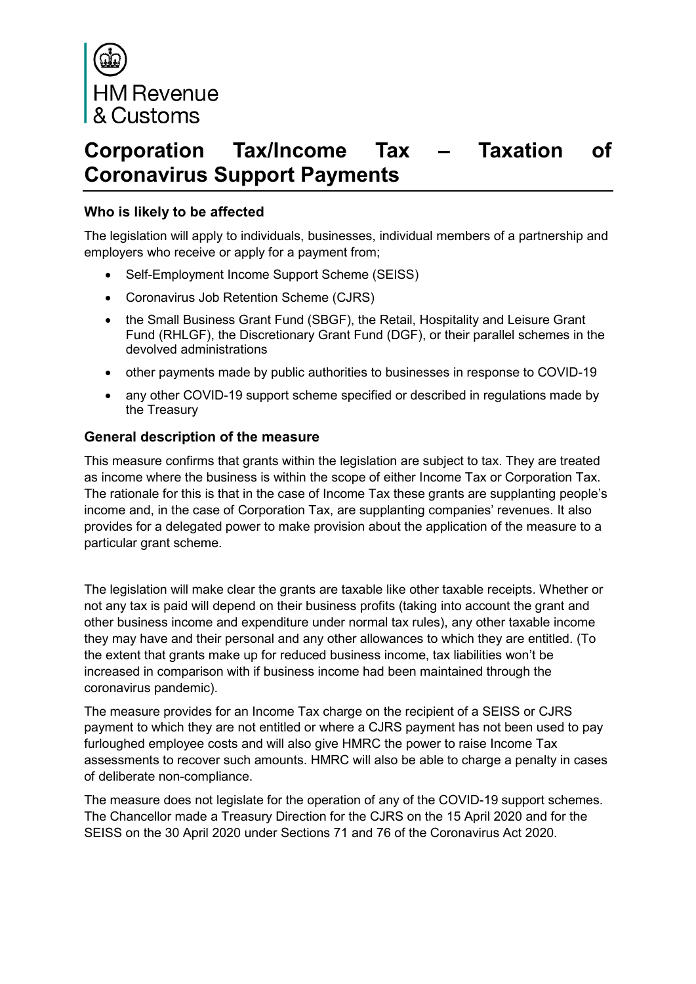

# **Corporation Tax/Income Tax – Taxation of Coronavirus Support Payments**

#### **Who is likely to be affected**

The legislation will apply to individuals, businesses, individual members of a partnership and employers who receive or apply for a payment from;

- Self-Employment Income Support Scheme (SEISS)
- Coronavirus Job Retention Scheme (CJRS)
- the Small Business Grant Fund (SBGF), the Retail, Hospitality and Leisure Grant Fund (RHLGF), the Discretionary Grant Fund (DGF), or their parallel schemes in the devolved administrations
- other payments made by public authorities to businesses in response to COVID-19
- any other COVID-19 support scheme specified or described in regulations made by the Treasury

#### **General description of the measure**

This measure confirms that grants within the legislation are subject to tax. They are treated as income where the business is within the scope of either Income Tax or Corporation Tax. The rationale for this is that in the case of Income Tax these grants are supplanting people's income and, in the case of Corporation Tax, are supplanting companies' revenues. It also provides for a delegated power to make provision about the application of the measure to a particular grant scheme.

The legislation will make clear the grants are taxable like other taxable receipts. Whether or not any tax is paid will depend on their business profits (taking into account the grant and other business income and expenditure under normal tax rules), any other taxable income they may have and their personal and any other allowances to which they are entitled. (To the extent that grants make up for reduced business income, tax liabilities won't be increased in comparison with if business income had been maintained through the coronavirus pandemic).

The measure provides for an Income Tax charge on the recipient of a SEISS or CJRS payment to which they are not entitled or where a CJRS payment has not been used to pay furloughed employee costs and will also give HMRC the power to raise Income Tax assessments to recover such amounts. HMRC will also be able to charge a penalty in cases of deliberate non-compliance.

The measure does not legislate for the operation of any of the COVID-19 support schemes. The Chancellor made a Treasury Direction for the CJRS on the 15 April 2020 and for the SEISS on the 30 April 2020 under Sections 71 and 76 of the Coronavirus Act 2020.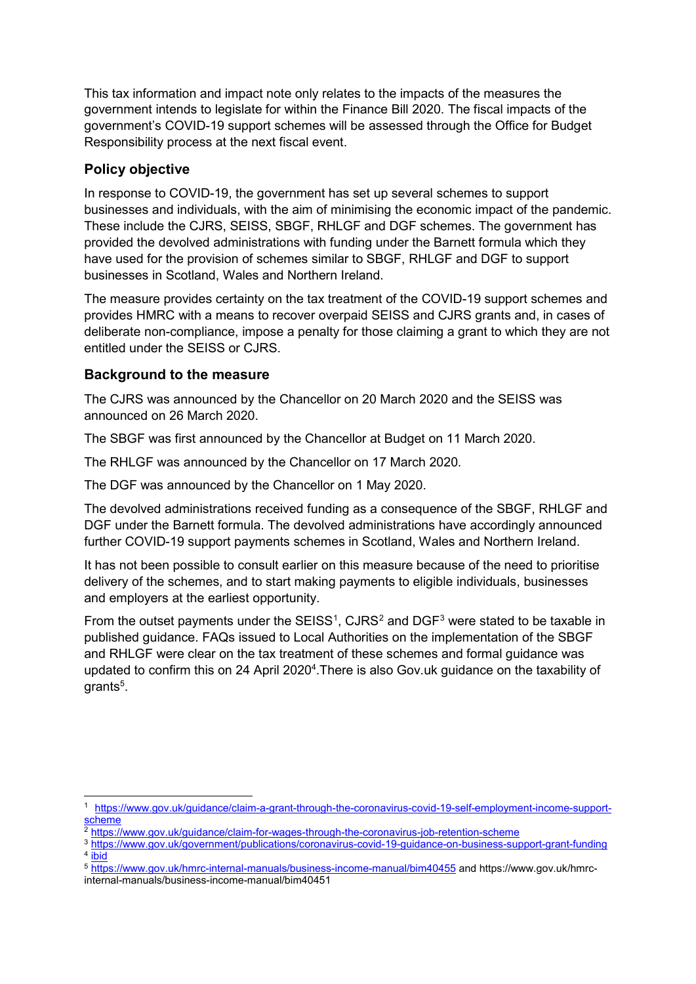This tax information and impact note only relates to the impacts of the measures the government intends to legislate for within the Finance Bill 2020. The fiscal impacts of the government's COVID-19 support schemes will be assessed through the Office for Budget Responsibility process at the next fiscal event.

### **Policy objective**

In response to COVID-19, the government has set up several schemes to support businesses and individuals, with the aim of minimising the economic impact of the pandemic. These include the CJRS, SEISS, SBGF, RHLGF and DGF schemes. The government has provided the devolved administrations with funding under the Barnett formula which they have used for the provision of schemes similar to SBGF, RHLGF and DGF to support businesses in Scotland, Wales and Northern Ireland.

The measure provides certainty on the tax treatment of the COVID-19 support schemes and provides HMRC with a means to recover overpaid SEISS and CJRS grants and, in cases of deliberate non-compliance, impose a penalty for those claiming a grant to which they are not entitled under the SEISS or CJRS.

#### **Background to the measure**

The CJRS was announced by the Chancellor on 20 March 2020 and the SEISS was announced on 26 March 2020.

The SBGF was first announced by the Chancellor at Budget on 11 March 2020.

The RHLGF was announced by the Chancellor on 17 March 2020.

The DGF was announced by the Chancellor on 1 May 2020.

The devolved administrations received funding as a consequence of the SBGF, RHLGF and DGF under the Barnett formula. The devolved administrations have accordingly announced further COVID-19 support payments schemes in Scotland, Wales and Northern Ireland.

It has not been possible to consult earlier on this measure because of the need to prioritise delivery of the schemes, and to start making payments to eligible individuals, businesses and employers at the earliest opportunity.

From the outset payments under the SEISS<sup>[1](#page-1-0)</sup>, CJRS<sup>2</sup> and DGF<sup>[3](#page-1-2)</sup> were stated to be taxable in published guidance. FAQs issued to Local Authorities on the implementation of the SBGF and RHLGF were clear on the tax treatment of these schemes and formal guidance was updated to confirm this on 24 April 2020<sup>4</sup>. There is also Gov.uk guidance on the taxability of grants<sup>5</sup>.

<span id="page-1-0"></span> <sup>1</sup> [https://www.gov.uk/guidance/claim-a-grant-through-the-coronavirus-covid-19-self-employment-income-support](https://www.gov.uk/guidance/claim-a-grant-through-the-coronavirus-covid-19-self-employment-income-support-scheme)[scheme](https://www.gov.uk/guidance/claim-a-grant-through-the-coronavirus-covid-19-self-employment-income-support-scheme)

<span id="page-1-1"></span><sup>2</sup> <https://www.gov.uk/guidance/claim-for-wages-through-the-coronavirus-job-retention-scheme>

<span id="page-1-2"></span><sup>3</sup> <https://www.gov.uk/government/publications/coronavirus-covid-19-guidance-on-business-support-grant-funding>  $4 \overline{ibid}$  $4 \overline{ibid}$  $4 \overline{ibid}$ 

<sup>5</sup> <https://www.gov.uk/hmrc-internal-manuals/business-income-manual/bim40455> and https://www.gov.uk/hmrcinternal-manuals/business-income-manual/bim40451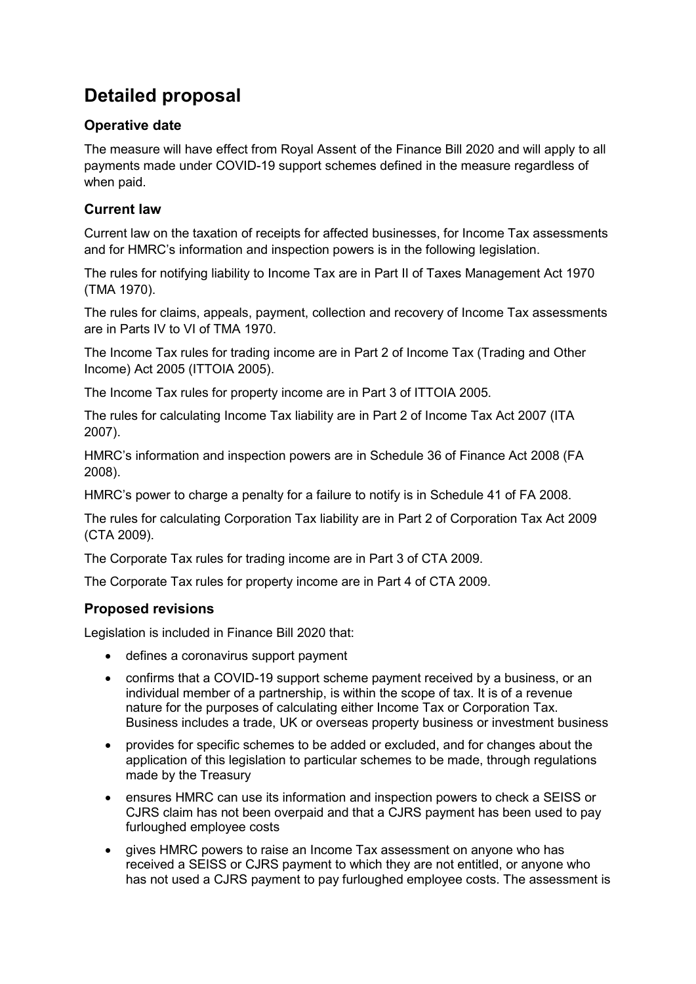## **Detailed proposal**

## **Operative date**

The measure will have effect from Royal Assent of the Finance Bill 2020 and will apply to all payments made under COVID-19 support schemes defined in the measure regardless of when paid.

## **Current law**

Current law on the taxation of receipts for affected businesses, for Income Tax assessments and for HMRC's information and inspection powers is in the following legislation.

The rules for notifying liability to Income Tax are in Part II of Taxes Management Act 1970 (TMA 1970).

The rules for claims, appeals, payment, collection and recovery of Income Tax assessments are in Parts IV to VI of TMA 1970.

The Income Tax rules for trading income are in Part 2 of Income Tax (Trading and Other Income) Act 2005 (ITTOIA 2005).

The Income Tax rules for property income are in Part 3 of ITTOIA 2005.

The rules for calculating Income Tax liability are in Part 2 of Income Tax Act 2007 (ITA 2007).

HMRC's information and inspection powers are in Schedule 36 of Finance Act 2008 (FA 2008).

HMRC's power to charge a penalty for a failure to notify is in Schedule 41 of FA 2008.

The rules for calculating Corporation Tax liability are in Part 2 of Corporation Tax Act 2009 (CTA 2009).

The Corporate Tax rules for trading income are in Part 3 of CTA 2009.

The Corporate Tax rules for property income are in Part 4 of CTA 2009.

## **Proposed revisions**

Legislation is included in Finance Bill 2020 that:

- defines a coronavirus support payment
- confirms that a COVID-19 support scheme payment received by a business, or an individual member of a partnership, is within the scope of tax. It is of a revenue nature for the purposes of calculating either Income Tax or Corporation Tax. Business includes a trade, UK or overseas property business or investment business
- provides for specific schemes to be added or excluded, and for changes about the application of this legislation to particular schemes to be made, through regulations made by the Treasury
- ensures HMRC can use its information and inspection powers to check a SEISS or CJRS claim has not been overpaid and that a CJRS payment has been used to pay furloughed employee costs
- gives HMRC powers to raise an Income Tax assessment on anyone who has received a SEISS or CJRS payment to which they are not entitled, or anyone who has not used a CJRS payment to pay furloughed employee costs. The assessment is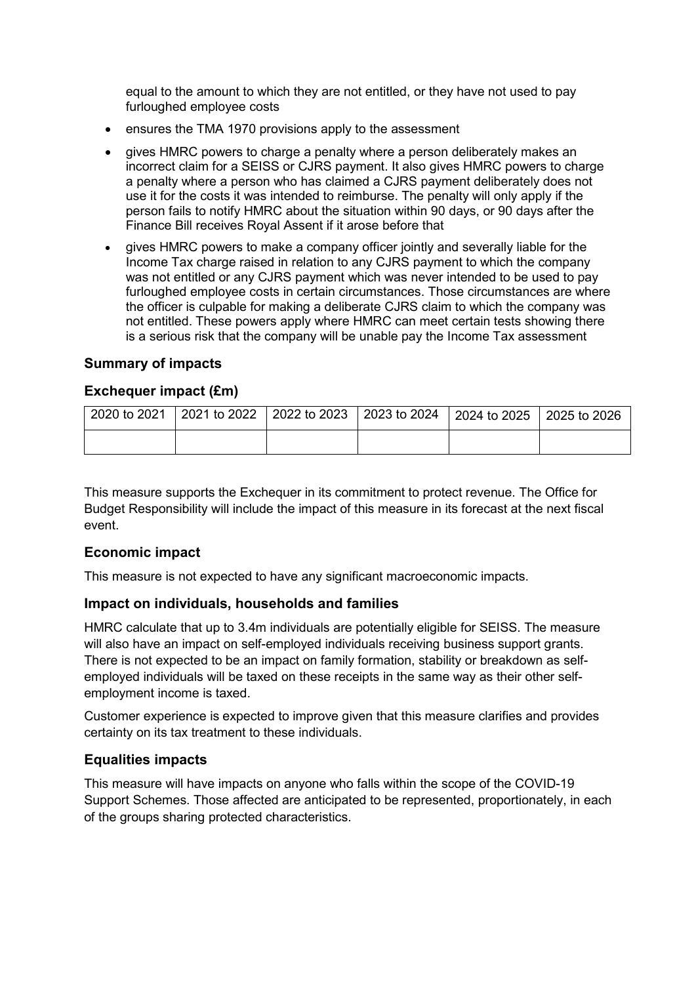equal to the amount to which they are not entitled, or they have not used to pay furloughed employee costs

- ensures the TMA 1970 provisions apply to the assessment
- gives HMRC powers to charge a penalty where a person deliberately makes an incorrect claim for a SEISS or CJRS payment. It also gives HMRC powers to charge a penalty where a person who has claimed a CJRS payment deliberately does not use it for the costs it was intended to reimburse. The penalty will only apply if the person fails to notify HMRC about the situation within 90 days, or 90 days after the Finance Bill receives Royal Assent if it arose before that
- gives HMRC powers to make a company officer jointly and severally liable for the Income Tax charge raised in relation to any CJRS payment to which the company was not entitled or any CJRS payment which was never intended to be used to pay furloughed employee costs in certain circumstances. Those circumstances are where the officer is culpable for making a deliberate CJRS claim to which the company was not entitled. These powers apply where HMRC can meet certain tests showing there is a serious risk that the company will be unable pay the Income Tax assessment

#### **Summary of impacts**

#### **Exchequer impact (£m)**

| 2020 to 2021 | 2021 to 2022   2022 to 2023   2023 to 2024   2024 to 2025   2025 to 2026 |  |  |
|--------------|--------------------------------------------------------------------------|--|--|
|              |                                                                          |  |  |

This measure supports the Exchequer in its commitment to protect revenue. The Office for Budget Responsibility will include the impact of this measure in its forecast at the next fiscal event.

#### **Economic impact**

This measure is not expected to have any significant macroeconomic impacts.

#### **Impact on individuals, households and families**

HMRC calculate that up to 3.4m individuals are potentially eligible for SEISS. The measure will also have an impact on self-employed individuals receiving business support grants. There is not expected to be an impact on family formation, stability or breakdown as selfemployed individuals will be taxed on these receipts in the same way as their other selfemployment income is taxed.

Customer experience is expected to improve given that this measure clarifies and provides certainty on its tax treatment to these individuals.

#### **Equalities impacts**

This measure will have impacts on anyone who falls within the scope of the COVID-19 Support Schemes. Those affected are anticipated to be represented, proportionately, in each of the groups sharing protected characteristics.